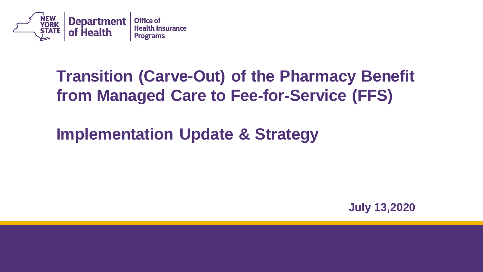

#### **from Managed Care to Fee-for-Service (FFS) Transition (Carve-Out) of the Pharmacy Benefit**

**Implementation Update & Strategy** 

**July 13,2020**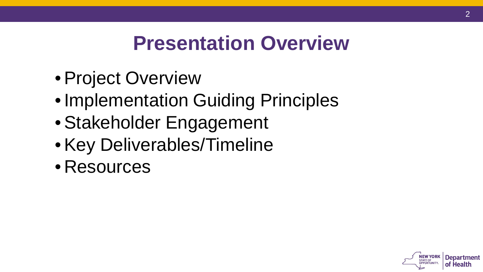## **Presentation Overview**

- Project Overview
- Implementation Guiding Principles
- Stakeholder Engagement
- Key Deliverables/Timeline
- Resources

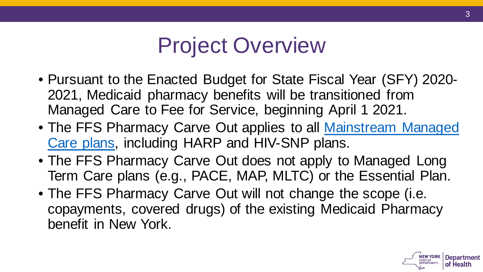## Project Overview

- • Pursuant to the Enacted Budget for State Fiscal Year (SFY) 2020- 2021, Medicaid pharmacy benefits will be transitioned from Managed Care to Fee for Service, beginning April 1 2021.
- The FFS Pharmacy Carve Out applies to all **Mainstream Managed** Care plans, including HARP and HIV-SNP plans.
- • The FFS Pharmacy Carve Out does not apply to Managed Long Term Care plans (e.g., PACE, MAP, MLTC) or the Essential Plan.
- • The FFS Pharmacy Carve Out will not change the scope (i.e. copayments, covered drugs) of the existing Medicaid Pharmacy benefit in New York.

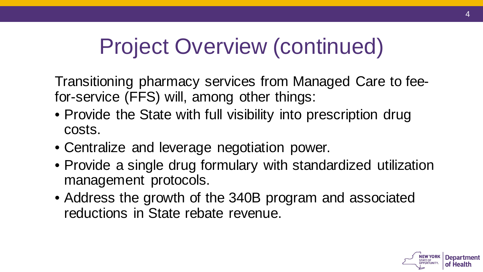# Project Overview (continued)

 Transitioning pharmacy services from Managed Care to fee-for-service (FFS) will, among other things:

- • Provide the State with full visibility into prescription drug costs.
- Centralize and leverage negotiation power.
- • Provide a single drug formulary with standardized utilization management protocols.
- • Address the growth of the 340B program and associated reductions in State rebate revenue.

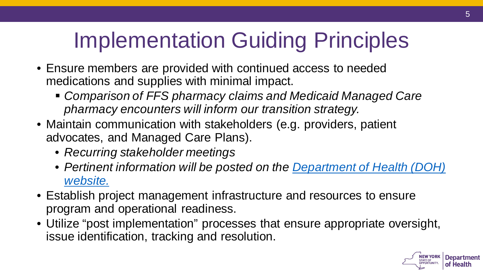# Implementation Guiding Principles

- • Ensure members are provided with continued access to needed medications and supplies with minimal impact.
	- **Comparison of FFS pharmacy claims and Medicaid Managed Care**  *pharmacy encounters will inform our transition strategy.*
- • Maintain communication with stakeholders (e.g. providers, patient advocates, and Managed Care Plans).
	- *Recurring stakeholder meetings*
	- *[Pertinent information will be posted on the Department of Health \(DOH\)](https://www.health.ny.gov/health_care/medicaid/redesign/mrt2/) website.*
- • Establish project management infrastructure and resources to ensure program and operational readiness.
- • Utilize "post implementation" processes that ensure appropriate oversight, issue identification, tracking and resolution.

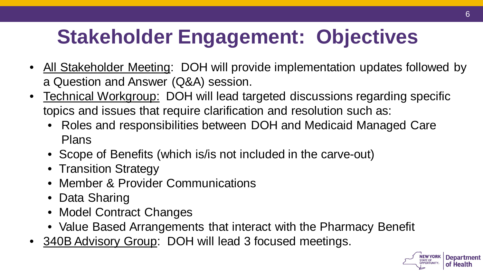## **Stakeholder Engagement: Objectives**

- All Stakeholder Meeting: DOH will provide implementation updates followed by a Question and Answer (Q&A) session.
- Technical Workgroup: DOH will lead targeted discussions regarding specific topics and issues that require clarification and resolution such as:
	- Roles and responsibilities between DOH and Medicaid Managed Care Plans
	- Scope of Benefits (which is/is not included in the carve-out)
	- Transition Strategy
	- Member & Provider Communications
	- Data Sharing
	- Model Contract Changes
	- Value Based Arrangements that interact with the Pharmacy Benefit
- 340B Advisory Group: DOH will lead 3 focused meetings.

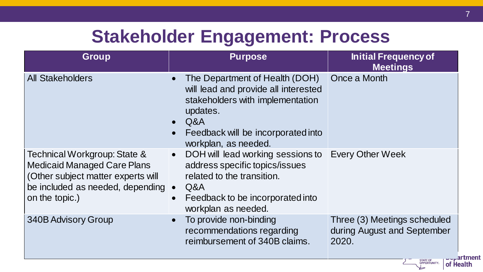### **Stakeholder Engagement: Process**

| <b>Group</b>                                                                                                                                                     | <b>Purpose</b>                                                                                                                                                                                                        | <b>Initial Frequency of</b><br><b>Meetings</b>                                                         |
|------------------------------------------------------------------------------------------------------------------------------------------------------------------|-----------------------------------------------------------------------------------------------------------------------------------------------------------------------------------------------------------------------|--------------------------------------------------------------------------------------------------------|
| <b>All Stakeholders</b>                                                                                                                                          | The Department of Health (DOH)<br>$\bullet$<br>will lead and provide all interested<br>stakeholders with implementation<br>updates.<br>Q&A<br>$\bullet$<br>Feedback will be incorporated into<br>workplan, as needed. | Once a Month                                                                                           |
| Technical Workgroup: State &<br><b>Medicaid Managed Care Plans</b><br>(Other subject matter experts will<br>be included as needed, depending •<br>on the topic.) | DOH will lead working sessions to<br>$\bullet$<br>address specific topics/issues<br>related to the transition.<br>Q&A<br>Feedback to be incorporated into<br>$\bullet$<br>workplan as needed.                         | <b>Every Other Week</b>                                                                                |
| <b>340B Advisory Group</b>                                                                                                                                       | To provide non-binding<br>$\bullet$<br>recommendations regarding<br>reimbursement of 340B claims.                                                                                                                     | Three (3) Meetings scheduled<br>during August and September<br>2020.<br><b>Lupartment</b><br>of Hoalth |

of Health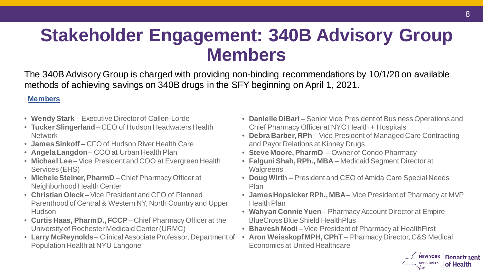### **Stakeholder Engagement: 340B Advisory Group Members**

 The 340B Advisory Group is charged with providing non-binding recommendations by 10/1/20 on available methods of achieving savings on 340B drugs in the SFY beginning on April 1, 2021.

#### **Members**

- **Wendy Stark**  Executive Director of Callen-Lorde
- **Tucker Slingerland**  CEO of Hudson Headwaters Health **Network**
- **James Sinkoff**  CFO of Hudson River Health Care
- **Angela Langdon** COO at Urban Health Plan
- **Michael Lee**  Vice President and COO at Evergreen Health Services (EHS)
- **Michele Steiner, PharmD**  Chief Pharmacy Officer at Neighborhood Health Center
- • **Christian Oleck**  Vice President and CFO of Planned Parenthood of Central & Western NY, North Country and Upper **Hudson**
- **Curtis Haas, PharmD., FCCP**  Chief Pharmacy Officer at the University of Rochester Medicaid Center (URMC)
- Population Health at NYU Langone • **Larry McReynolds**– Clinical Associate Professor, Department of
- **Danielle DiBari** Senior Vice President of Business Operations and Chief Pharmacy Officer at NYC Health + Hospitals
- and Payor Relations at Kinney Drugs • **Debra Barber, RPh** – Vice President of Managed Care Contracting
- **Steve Moore, PharmD**  Owner of Condo Pharmacy
- **Falguni Shah, RPh., MBA**  Medicaid Segment Director at **Walgreens**
- • **Doug Wirth**  President and CEO of Amida Care Special Needs Plan
- **James Hopsicker RPh., MBA** Vice President of Pharmacy at MVP Health Plan
- **Wahyan Connie Yuen** Pharmacy Account Director at Empire BlueCross Blue Shield HealthPlus
- **Bhavesh Modi** Vice President of Pharmacy at Health First
- **Aron Weisskopf MPH, CPhT**  Pharmacy Director, C&S Medical Economics at United Healthcare

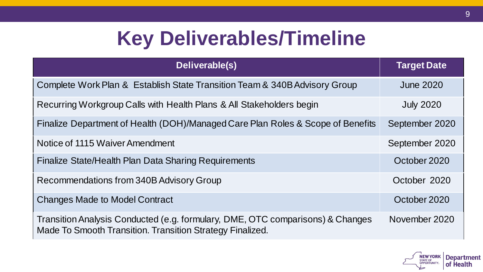## **Key Deliverables/Timeline**

| Deliverable(s)                                                                                                                              | <b>Target Date</b> |
|---------------------------------------------------------------------------------------------------------------------------------------------|--------------------|
| Complete Work Plan & Establish State Transition Team & 340B Advisory Group                                                                  | <b>June 2020</b>   |
| Recurring Workgroup Calls with Health Plans & All Stakeholders begin                                                                        | <b>July 2020</b>   |
| Finalize Department of Health (DOH)/Managed Care Plan Roles & Scope of Benefits                                                             | September 2020     |
| Notice of 1115 Waiver Amendment                                                                                                             | September 2020     |
| <b>Finalize State/Health Plan Data Sharing Requirements</b>                                                                                 | October 2020       |
| Recommendations from 340B Advisory Group                                                                                                    | October 2020       |
| <b>Changes Made to Model Contract</b>                                                                                                       | October 2020       |
| Transition Analysis Conducted (e.g. formulary, DME, OTC comparisons) & Changes<br>Made To Smooth Transition. Transition Strategy Finalized. | November 2020      |

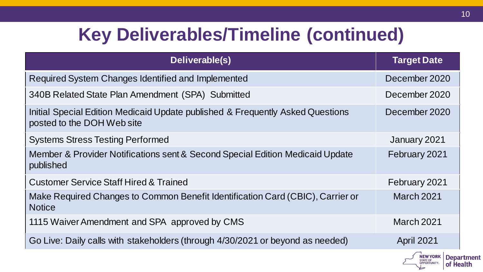## **Key Deliverables/Timeline (continued)**

| Deliverable(s)                                                                                               | <b>Target Date</b> |
|--------------------------------------------------------------------------------------------------------------|--------------------|
| Required System Changes Identified and Implemented                                                           | December 2020      |
| 340B Related State Plan Amendment (SPA) Submitted                                                            | December 2020      |
| Initial Special Edition Medicaid Update published & Frequently Asked Questions<br>posted to the DOH Web site | December 2020      |
| <b>Systems Stress Testing Performed</b>                                                                      | January 2021       |
| Member & Provider Notifications sent & Second Special Edition Medicaid Update<br>published                   | February 2021      |
| <b>Customer Service Staff Hired &amp; Trained</b>                                                            | February 2021      |
| Make Required Changes to Common Benefit Identification Card (CBIC), Carrier or<br><b>Notice</b>              | <b>March 2021</b>  |
| 1115 Waiver Amendment and SPA approved by CMS                                                                | <b>March 2021</b>  |
| Go Live: Daily calls with stakeholders (through 4/30/2021 or beyond as needed)                               | <b>April 2021</b>  |



**Department** 

**NEW YORK Department**<br> **OF Health**